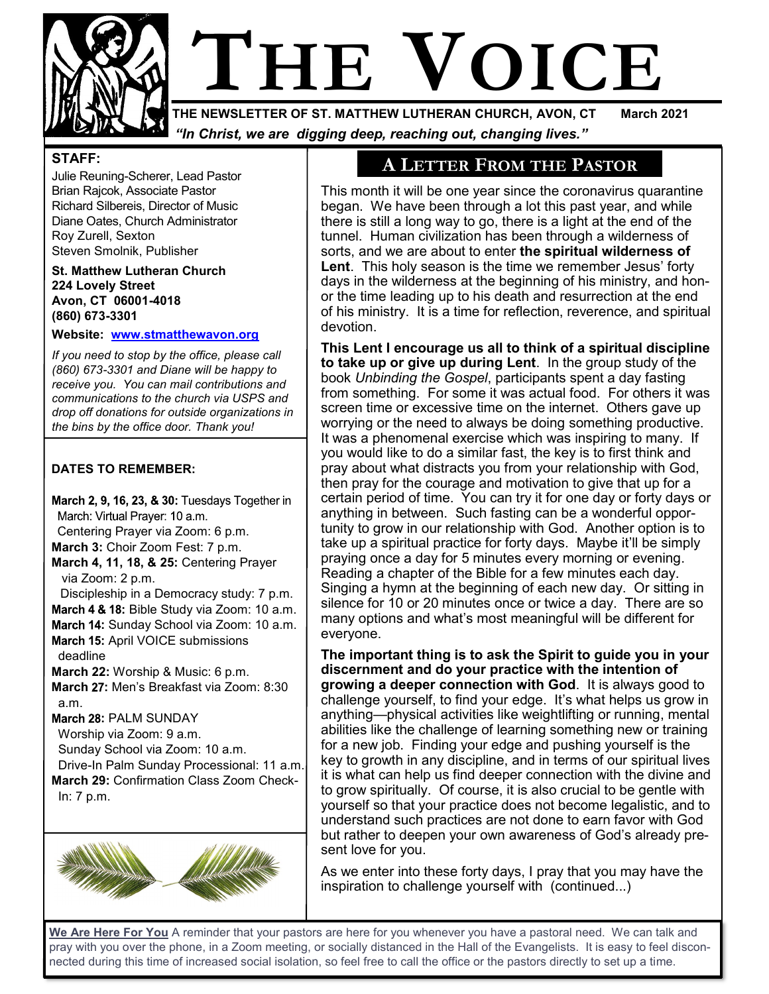

# **NEWSLETTER OF ST. MATTHEW LUTHERAN CHURCH. AVON. CT March 2021**

**THE NEWSLETTER OF ST. MATTHEW LUTHERAN CHURCH, AVON, CT March 2021** *"In Christ, we are digging deep, reaching out, changing lives."*

#### **STAFF:**

Julie Reuning-Scherer, Lead Pastor Brian Rajcok, Associate Pastor Richard Silbereis, Director of Music Diane Oates, Church Administrator Roy Zurell, Sexton Steven Smolnik, Publisher

**St. Matthew Lutheran Church 224 Lovely Street Avon, CT 06001-4018 (860) 673-3301**

#### **Website: [www.stmatthewavon.org](http://www.stmatthewavon.org/)**

*If you need to stop by the office, please call (860) 673-3301 and Diane will be happy to receive you. You can mail contributions and communications to the church via USPS and drop off donations for outside organizations in the bins by the office door. Thank you!*

#### **DATES TO REMEMBER:**

March 2, 9, 16, 23, & 30: Tuesdays Together in March: Virtual Prayer: 10 a.m. Centering Prayer via Zoom: 6 p.m. **March 3:** Choir Zoom Fest: 7 p.m. **March 4, 11, 18, & 25:** Centering Prayer via Zoom: 2 p.m. Discipleship in a Democracy study: 7 p.m. **March 4 & 18: Bible Study via Zoom: 10 a.m.** March 14: Sunday School via Zoom: 10 a.m. **March 15: April VOICE submissions**  deadline **March 22:** Worship & Music: 6 p.m. **March 27: Men's Breakfast via Zoom: 8:30**  a.m. March 28: PALM SUNDAY Worship via Zoom: 9 a.m. Sunday School via Zoom: 10 a.m. Drive-In Palm Sunday Processional: 11 a.m. **March 29:** Confirmation Class Zoom Check- In: 7 p.m.



# **A LETTER FROM THE PASTOR**

This month it will be one year since the coronavirus quarantine began. We have been through a lot this past year, and while there is still a long way to go, there is a light at the end of the tunnel. Human civilization has been through a wilderness of sorts, and we are about to enter **the spiritual wilderness of Lent**. This holy season is the time we remember Jesus' forty days in the wilderness at the beginning of his ministry, and honor the time leading up to his death and resurrection at the end of his ministry. It is a time for reflection, reverence, and spiritual devotion.

**This Lent I encourage us all to think of a spiritual discipline to take up or give up during Lent**. In the group study of the book *Unbinding the Gospel*, participants spent a day fasting from something. For some it was actual food. For others it was screen time or excessive time on the internet. Others gave up worrying or the need to always be doing something productive. It was a phenomenal exercise which was inspiring to many. If you would like to do a similar fast, the key is to first think and pray about what distracts you from your relationship with God, then pray for the courage and motivation to give that up for a certain period of time. You can try it for one day or forty days or anything in between. Such fasting can be a wonderful opportunity to grow in our relationship with God. Another option is to take up a spiritual practice for forty days. Maybe it'll be simply praying once a day for 5 minutes every morning or evening. Reading a chapter of the Bible for a few minutes each day. Singing a hymn at the beginning of each new day. Or sitting in silence for 10 or 20 minutes once or twice a day. There are so many options and what's most meaningful will be different for everyone.

**The important thing is to ask the Spirit to guide you in your discernment and do your practice with the intention of growing a deeper connection with God**. It is always good to challenge yourself, to find your edge. It's what helps us grow in anything—physical activities like weightlifting or running, mental abilities like the challenge of learning something new or training for a new job. Finding your edge and pushing yourself is the key to growth in any discipline, and in terms of our spiritual lives it is what can help us find deeper connection with the divine and to grow spiritually. Of course, it is also crucial to be gentle with yourself so that your practice does not become legalistic, and to understand such practices are not done to earn favor with God but rather to deepen your own awareness of God's already present love for you.

As we enter into these forty days, I pray that you may have the inspiration to challenge yourself with (continued...)

**We Are Here For You** A reminder that your pastors are here for you whenever you have a pastoral need. We can talk and pray with you over the phone, in a Zoom meeting, or socially distanced in the Hall of the Evangelists. It is easy to feel disconnected during this time of increased social isolation, so feel free to call the office or the pastors directly to set up a time.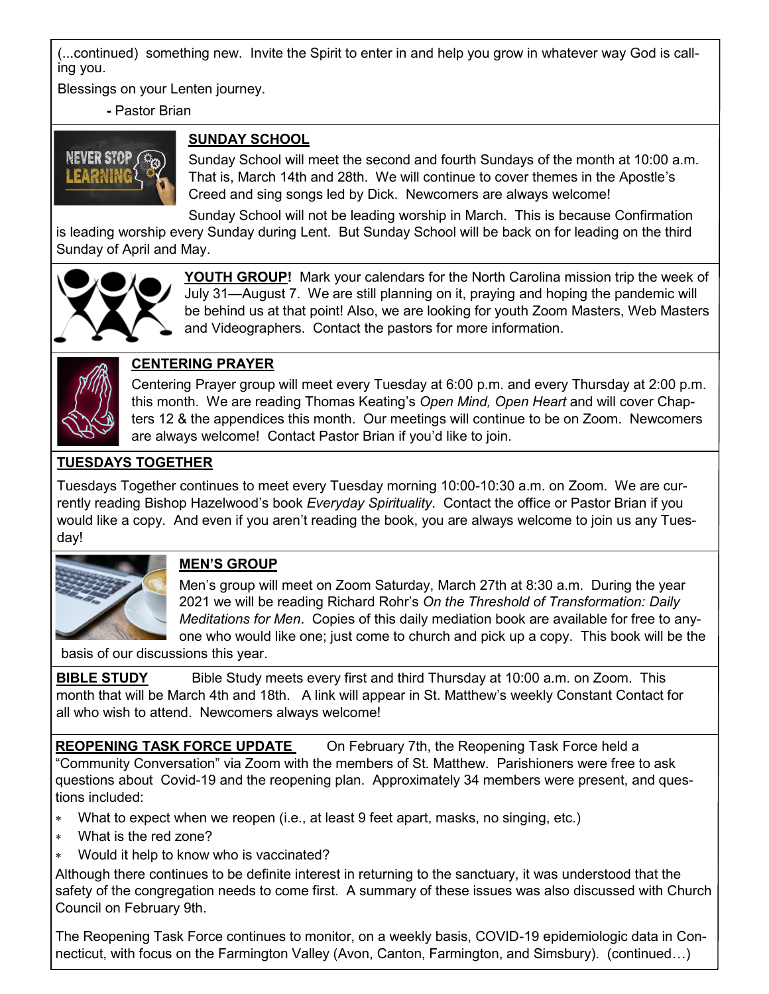(...continued) something new. Invite the Spirit to enter in and help you grow in whatever way God is calling you.

Blessings on your Lenten journey.

**-** Pastor Brian

# **SUNDAY SCHOOL**



Sunday School will meet the second and fourth Sundays of the month at 10:00 a.m. That is, March 14th and 28th. We will continue to cover themes in the Apostle's Creed and sing songs led by Dick. Newcomers are always welcome!

Sunday School will not be leading worship in March. This is because Confirmation is leading worship every Sunday during Lent. But Sunday School will be back on for leading on the third Sunday of April and May.



**YOUTH GROUP!** Mark your calendars for the North Carolina mission trip the week of July 31—August 7. We are still planning on it, praying and hoping the pandemic will be behind us at that point! Also, we are looking for youth Zoom Masters, Web Masters and Videographers. Contact the pastors for more information.



# **CENTERING PRAYER**

Centering Prayer group will meet every Tuesday at 6:00 p.m. and every Thursday at 2:00 p.m. this month. We are reading Thomas Keating's *Open Mind, Open Heart* and will cover Chapters 12 & the appendices this month. Our meetings will continue to be on Zoom. Newcomers are always welcome! Contact Pastor Brian if you'd like to join.

# **TUESDAYS TOGETHER**

Tuesdays Together continues to meet every Tuesday morning 10:00-10:30 a.m. on Zoom. We are currently reading Bishop Hazelwood's book *Everyday Spirituality*. Contact the office or Pastor Brian if you would like a copy. And even if you aren't reading the book, you are always welcome to join us any Tuesday!



# **MEN'S GROUP**

Men's group will meet on Zoom Saturday, March 27th at 8:30 a.m. During the year 2021 we will be reading Richard Rohr's *On the Threshold of Transformation: Daily Meditations for Men*. Copies of this daily mediation book are available for free to anyone who would like one; just come to church and pick up a copy. This book will be the

basis of our discussions this year.

**BIBLE STUDY** Bible Study meets every first and third Thursday at 10:00 a.m. on Zoom. This month that will be March 4th and 18th. A link will appear in St. Matthew's weekly Constant Contact for all who wish to attend. Newcomers always welcome!

**REOPENING TASK FORCE UPDATE** On February 7th, the Reopening Task Force held a "Community Conversation" via Zoom with the members of St. Matthew. Parishioners were free to ask questions about Covid-19 and the reopening plan. Approximately 34 members were present, and questions included:

- What to expect when we reopen (i.e., at least 9 feet apart, masks, no singing, etc.)
- What is the red zone?
- Would it help to know who is vaccinated?

Although there continues to be definite interest in returning to the sanctuary, it was understood that the safety of the congregation needs to come first. A summary of these issues was also discussed with Church Council on February 9th.

The Reopening Task Force continues to monitor, on a weekly basis, COVID-19 epidemiologic data in Connecticut, with focus on the Farmington Valley (Avon, Canton, Farmington, and Simsbury). (continued…)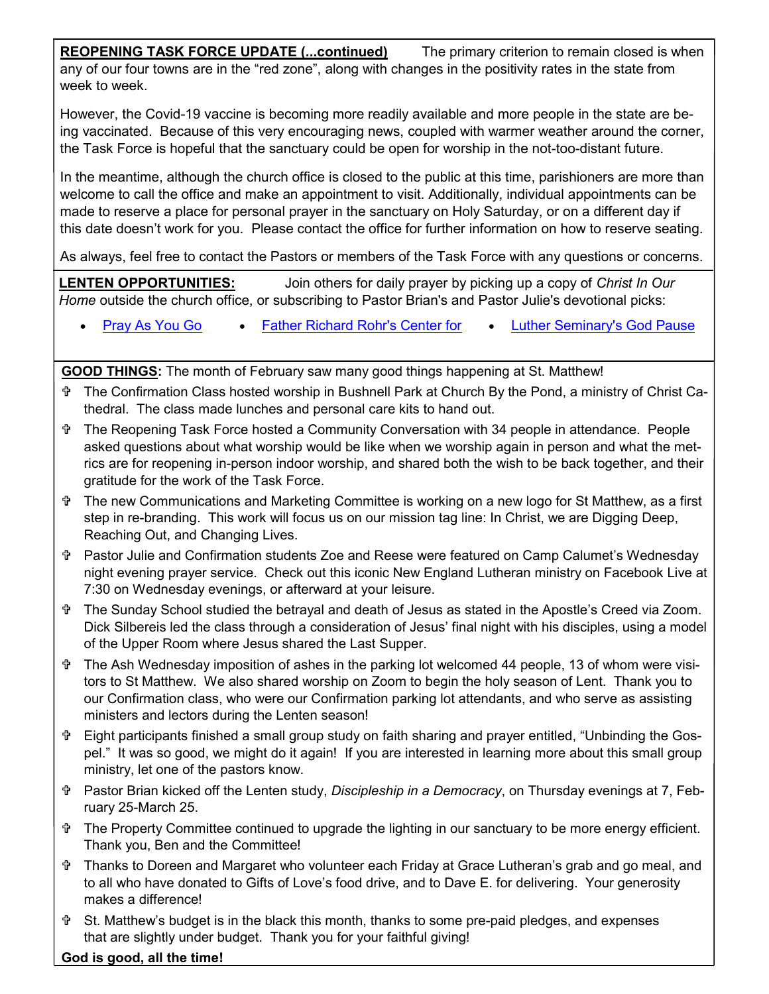**REOPENING TASK FORCE UPDATE (...continued)** The primary criterion to remain closed is when any of our four towns are in the "red zone", along with changes in the positivity rates in the state from week to week.

However, the Covid-19 vaccine is becoming more readily available and more people in the state are being vaccinated. Because of this very encouraging news, coupled with warmer weather around the corner, the Task Force is hopeful that the sanctuary could be open for worship in the not-too-distant future.

In the meantime, although the church office is closed to the public at this time, parishioners are more than welcome to call the office and make an appointment to visit. Additionally, individual appointments can be made to reserve a place for personal prayer in the sanctuary on Holy Saturday, or on a different day if this date doesn't work for you. Please contact the office for further information on how to reserve seating.

As always, feel free to contact the Pastors or members of the Task Force with any questions or concerns.

**LENTEN OPPORTUNITIES:** Join others for daily prayer by picking up a copy of *Christ In Our Home* outside the church office, or subscribing to Pastor Brian's and Pastor Julie's devotional picks:

• [Pray As You Go](https://pray-as-you-go.org/ie.php) • [Father Richard Rohr's Center for](https://cac.org/) • [Luther Seminary's God Pause](https://www.luthersem.edu/godpause/)

**GOOD THINGS:** The month of February saw many good things happening at St. Matthew!

- The Confirmation Class hosted worship in Bushnell Park at Church By the Pond, a ministry of Christ Cathedral. The class made lunches and personal care kits to hand out.
- The Reopening Task Force hosted a Community Conversation with 34 people in attendance. People asked questions about what worship would be like when we worship again in person and what the metrics are for reopening in-person indoor worship, and shared both the wish to be back together, and their gratitude for the work of the Task Force.
- The new Communications and Marketing Committee is working on a new logo for St Matthew, as a first step in re-branding. This work will focus us on our mission tag line: In Christ, we are Digging Deep, Reaching Out, and Changing Lives.
- Pastor Julie and Confirmation students Zoe and Reese were featured on Camp Calumet's Wednesday night evening prayer service. Check out this iconic New England Lutheran ministry on Facebook Live at 7:30 on Wednesday evenings, or afterward at your leisure.
- The Sunday School studied the betrayal and death of Jesus as stated in the Apostle's Creed via Zoom. Dick Silbereis led the class through a consideration of Jesus' final night with his disciples, using a model of the Upper Room where Jesus shared the Last Supper.
- The Ash Wednesday imposition of ashes in the parking lot welcomed 44 people, 13 of whom were visitors to St Matthew. We also shared worship on Zoom to begin the holy season of Lent. Thank you to our Confirmation class, who were our Confirmation parking lot attendants, and who serve as assisting ministers and lectors during the Lenten season!
- Eight participants finished a small group study on faith sharing and prayer entitled, "Unbinding the Gospel." It was so good, we might do it again! If you are interested in learning more about this small group ministry, let one of the pastors know.
- Pastor Brian kicked off the Lenten study, *Discipleship in a Democracy*, on Thursday evenings at 7, February 25-March 25.
- The Property Committee continued to upgrade the lighting in our sanctuary to be more energy efficient. Thank you, Ben and the Committee!
- Thanks to Doreen and Margaret who volunteer each Friday at Grace Lutheran's grab and go meal, and to all who have donated to Gifts of Love's food drive, and to Dave E. for delivering. Your generosity makes a difference!
- St. Matthew's budget is in the black this month, thanks to some pre-paid pledges, and expenses that are slightly under budget. Thank you for your faithful giving!

#### **God is good, all the time!**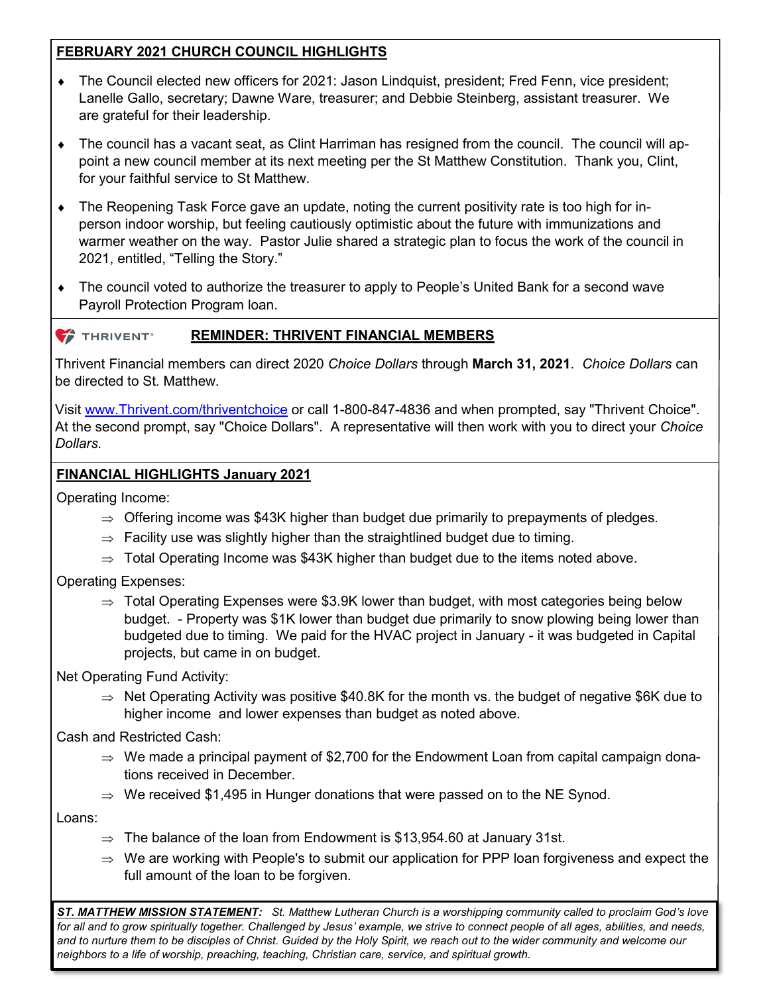### **FEBRUARY 2021 CHURCH COUNCIL HIGHLIGHTS**

- The Council elected new officers for 2021: Jason Lindquist, president; Fred Fenn, vice president; Lanelle Gallo, secretary; Dawne Ware, treasurer; and Debbie Steinberg, assistant treasurer. We are grateful for their leadership.
- The council has a vacant seat, as Clint Harriman has resigned from the council. The council will appoint a new council member at its next meeting per the St Matthew Constitution. Thank you, Clint, for your faithful service to St Matthew.
- The Reopening Task Force gave an update, noting the current positivity rate is too high for inperson indoor worship, but feeling cautiously optimistic about the future with immunizations and warmer weather on the way. Pastor Julie shared a strategic plan to focus the work of the council in 2021, entitled, "Telling the Story."
- The council voted to authorize the treasurer to apply to People's United Bank for a second wave Payroll Protection Program loan.

#### THRIVENT<sup>®</sup> **REMINDER: THRIVENT FINANCIAL MEMBERS**

Thrivent Financial members can direct 2020 *Choice Dollars* through **March 31, 2021**. *Choice Dollars* can be directed to St. Matthew.

Visit [www.Thrivent.com/thriventchoice](http://www.Thrivent.com/thriventchoice) or call 1-800-847-4836 and when prompted, say "Thrivent Choice". At the second prompt, say "Choice Dollars". A representative will then work with you to direct your *Choice Dollars.*

#### **FINANCIAL HIGHLIGHTS January 2021**

Operating Income:

- $\Rightarrow$  Offering income was \$43K higher than budget due primarily to prepayments of pledges.
- $\Rightarrow$  Facility use was slightly higher than the straightlined budget due to timing.
- $\Rightarrow$  Total Operating Income was \$43K higher than budget due to the items noted above.

Operating Expenses:

 $\Rightarrow$  Total Operating Expenses were \$3.9K lower than budget, with most categories being below budget. - Property was \$1K lower than budget due primarily to snow plowing being lower than budgeted due to timing. We paid for the HVAC project in January - it was budgeted in Capital projects, but came in on budget.

Net Operating Fund Activity:

 $\Rightarrow$  Net Operating Activity was positive \$40.8K for the month vs. the budget of negative \$6K due to higher income and lower expenses than budget as noted above.

Cash and Restricted Cash:

- $\Rightarrow$  We made a principal payment of \$2,700 for the Endowment Loan from capital campaign donations received in December.
- $\Rightarrow$  We received \$1,495 in Hunger donations that were passed on to the NE Synod.

Loans:

- $\Rightarrow$  The balance of the loan from Endowment is \$13,954.60 at January 31st.
- $\Rightarrow$  We are working with People's to submit our application for PPP loan forgiveness and expect the full amount of the loan to be forgiven.

*ST. MATTHEW MISSION STATEMENT: St. Matthew Lutheran Church is a worshipping community called to proclaim God's love*  for all and to grow spiritually together. Challenged by Jesus' example, we strive to connect people of all ages, abilities, and needs, *and to nurture them to be disciples of Christ. Guided by the Holy Spirit, we reach out to the wider community and welcome our neighbors to a life of worship, preaching, teaching, Christian care, service, and spiritual growth.*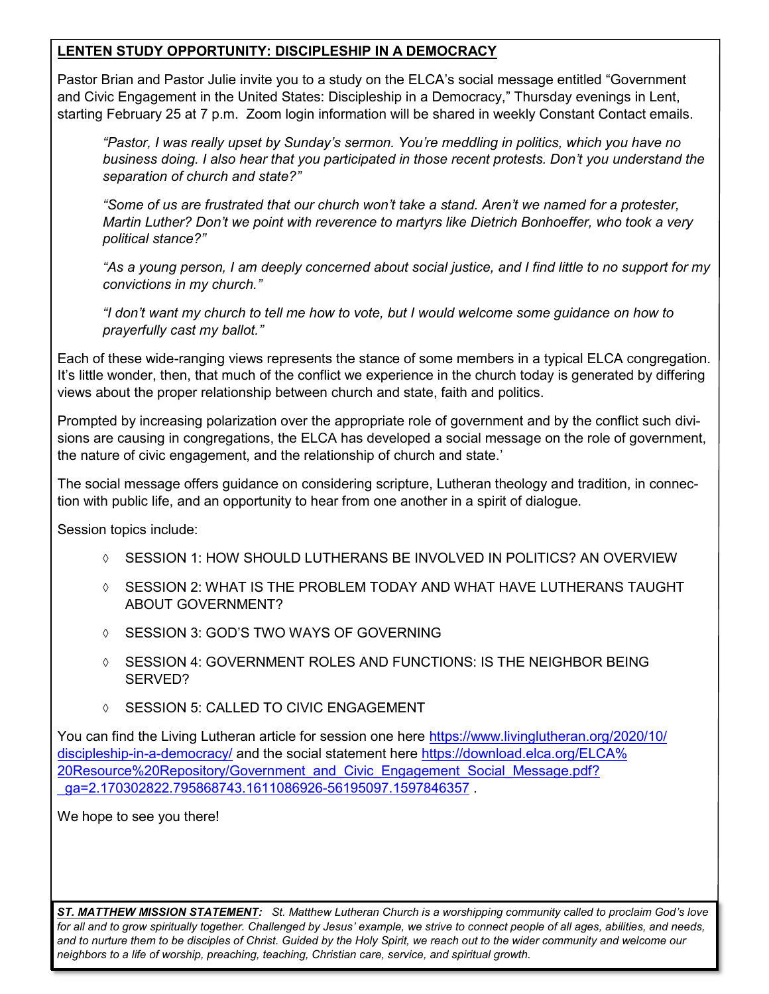#### **LENTEN STUDY OPPORTUNITY: DISCIPLESHIP IN A DEMOCRACY**

Pastor Brian and Pastor Julie invite you to a study on the ELCA's social message entitled "Government and Civic Engagement in the United States: Discipleship in a Democracy," Thursday evenings in Lent, starting February 25 at 7 p.m. Zoom login information will be shared in weekly Constant Contact emails.

*"Pastor, I was really upset by Sunday's sermon. You're meddling in politics, which you have no business doing. I also hear that you participated in those recent protests. Don't you understand the separation of church and state?"*

*"Some of us are frustrated that our church won't take a stand. Aren't we named for a protester, Martin Luther? Don't we point with reverence to martyrs like Dietrich Bonhoeffer, who took a very political stance?"*

*"As a young person, I am deeply concerned about social justice, and I find little to no support for my convictions in my church."*

*"I don't want my church to tell me how to vote, but I would welcome some guidance on how to prayerfully cast my ballot."*

Each of these wide-ranging views represents the stance of some members in a typical ELCA congregation. It's little wonder, then, that much of the conflict we experience in the church today is generated by differing views about the proper relationship between church and state, faith and politics.

Prompted by increasing polarization over the appropriate role of government and by the conflict such divisions are causing in congregations, the ELCA has developed a social message on the role of government, the nature of civic engagement, and the relationship of church and state.'

The social message offers guidance on considering scripture, Lutheran theology and tradition, in connection with public life, and an opportunity to hear from one another in a spirit of dialogue.

Session topics include:

- $\Diamond$  SESSION 1: HOW SHOULD LUTHERANS BE INVOLVED IN POLITICS? AN OVERVIEW
- $\Diamond$  SESSION 2: WHAT IS THE PROBLEM TODAY AND WHAT HAVE LUTHERANS TAUGHT ABOUT GOVERNMENT?
- SESSION 3: GOD'S TWO WAYS OF GOVERNING
- $\Diamond$  SESSION 4: GOVERNMENT ROLES AND FUNCTIONS: IS THE NEIGHBOR BEING SERVED?
- **SESSION 5: CALLED TO CIVIC ENGAGEMENT**

You can find the Living Lutheran article for session one here [https://www.livinglutheran.org/2020/10/](https://www.livinglutheran.org/2020/10/discipleship-in-a-democracy/) discipleship-in-a-[democracy/](https://www.livinglutheran.org/2020/10/discipleship-in-a-democracy/) and the social statement here [https://download.elca.org/ELCA%](https://download.elca.org/ELCA%20Resource%20Repository/Government_and_Civic_Engagement_Social_Message.pdf?_ga=2.170302822.795868743.1611086926-56195097.1597846357) 20Resource%20Repository/Government and Civic Engagement Social Message.pdf? [\\_ga=2.170302822.795868743.1611086926](https://download.elca.org/ELCA%20Resource%20Repository/Government_and_Civic_Engagement_Social_Message.pdf?_ga=2.170302822.795868743.1611086926-56195097.1597846357)-56195097.1597846357 .

We hope to see you there!

*ST. MATTHEW MISSION STATEMENT: St. Matthew Lutheran Church is a worshipping community called to proclaim God's love*  for all and to grow spiritually together. Challenged by Jesus' example, we strive to connect people of all ages, abilities, and needs, *and to nurture them to be disciples of Christ. Guided by the Holy Spirit, we reach out to the wider community and welcome our neighbors to a life of worship, preaching, teaching, Christian care, service, and spiritual growth.*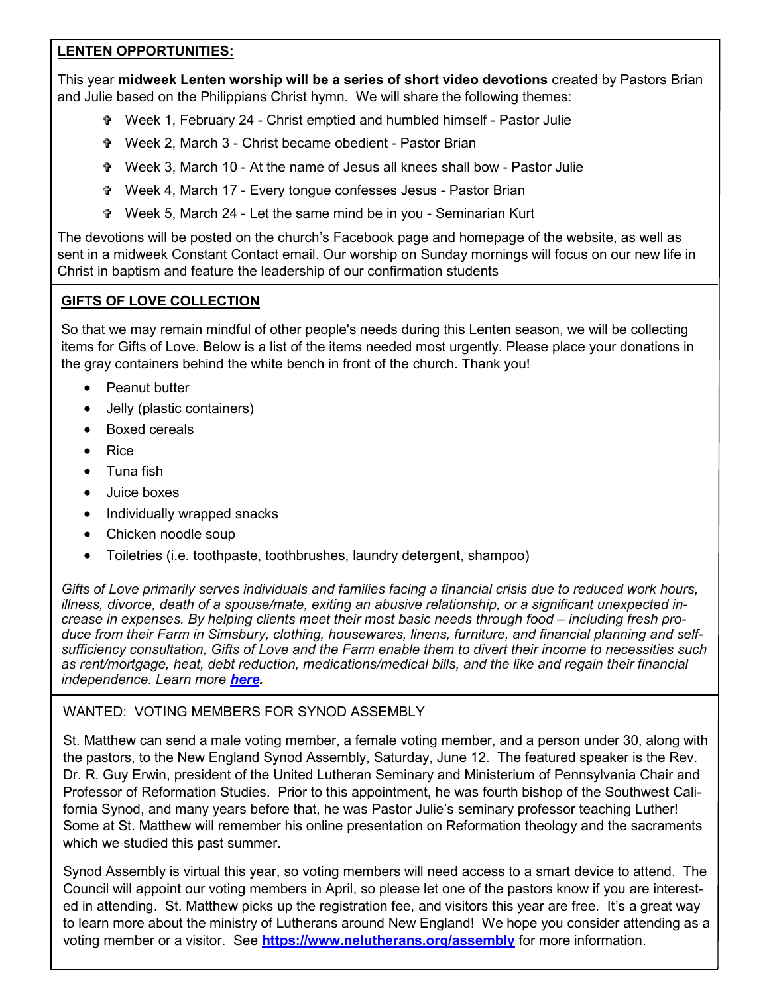#### **LENTEN OPPORTUNITIES:**

This year **midweek Lenten worship will be a series of short video devotions** created by Pastors Brian and Julie based on the Philippians Christ hymn. We will share the following themes:

- Week 1, February 24 Christ emptied and humbled himself Pastor Julie
- Week 2, March 3 Christ became obedient Pastor Brian
- Week 3, March 10 At the name of Jesus all knees shall bow Pastor Julie
- Week 4, March 17 Every tongue confesses Jesus Pastor Brian
- Week 5, March 24 Let the same mind be in you Seminarian Kurt

The devotions will be posted on the church's Facebook page and homepage of the website, as well as sent in a midweek Constant Contact email. Our worship on Sunday mornings will focus on our new life in Christ in baptism and feature the leadership of our confirmation students

#### **GIFTS OF LOVE COLLECTION**

So that we may remain mindful of other people's needs during this Lenten season, we will be collecting items for Gifts of Love. Below is a list of the items needed most urgently. Please place your donations in the gray containers behind the white bench in front of the church. Thank you!

- Peanut butter
- Jelly (plastic containers)
- Boxed cereals
- Rice
- Tuna fish
- Juice boxes
- Individually wrapped snacks
- Chicken noodle soup
- Toiletries (i.e. toothpaste, toothbrushes, laundry detergent, shampoo)

*Gifts of Love primarily serves individuals and families facing a financial crisis due to reduced work hours, illness, divorce, death of a spouse/mate, exiting an abusive relationship, or a significant unexpected increase in expenses. By helping clients meet their most basic needs through food – including fresh produce from their Farm in Simsbury, clothing, housewares, linens, furniture, and financial planning and selfsufficiency consultation, Gifts of Love and the Farm enable them to divert their income to necessities such as rent/mortgage, heat, debt reduction, medications/medical bills, and the like and regain their financial independence. Learn more [here.](https://giftsoflovect.org/)*

#### WANTED: VOTING MEMBERS FOR SYNOD ASSEMBLY

St. Matthew can send a male voting member, a female voting member, and a person under 30, along with the pastors, to the New England Synod Assembly, Saturday, June 12. The featured speaker is the Rev. Dr. R. Guy Erwin, president of the United Lutheran Seminary and Ministerium of Pennsylvania Chair and Professor of Reformation Studies. Prior to this appointment, he was fourth bishop of the Southwest California Synod, and many years before that, he was Pastor Julie's seminary professor teaching Luther! Some at St. Matthew will remember his online presentation on Reformation theology and the sacraments which we studied this past summer.

Synod Assembly is virtual this year, so voting members will need access to a smart device to attend. The Council will appoint our voting members in April, so please let one of the pastors know if you are interested in attending. St. Matthew picks up the registration fee, and visitors this year are free. It's a great way to learn more about the ministry of Lutherans around New England! We hope you consider attending as a voting member or a visitor. See **<https://www.nelutherans.org/assembly>** for more information.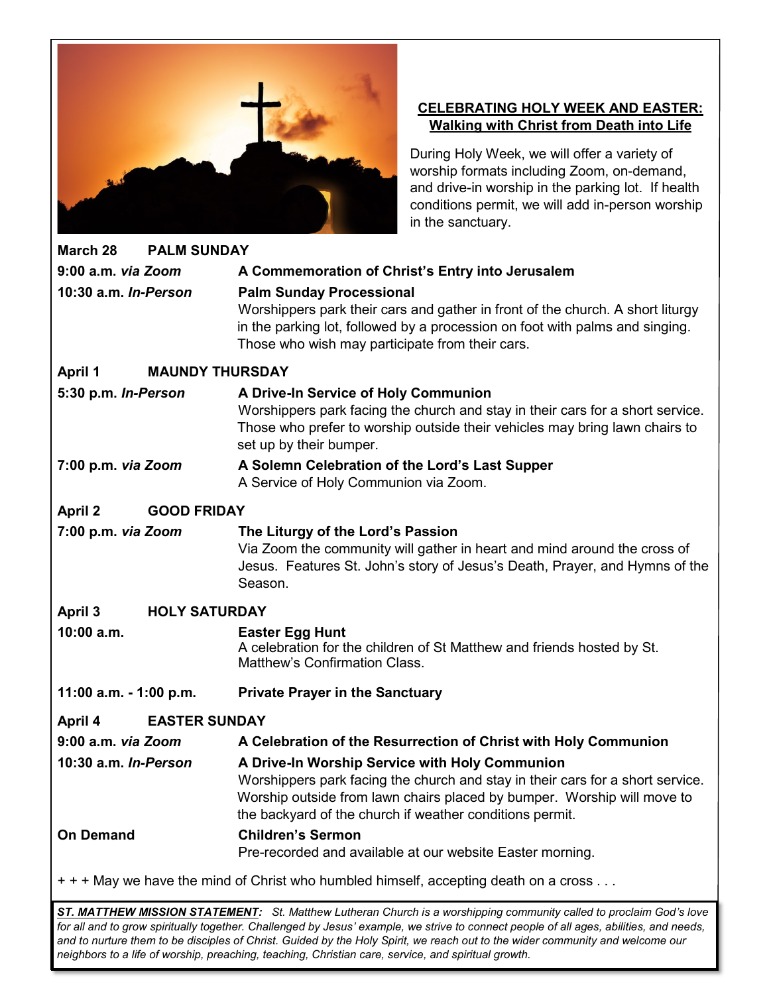

### **CELEBRATING HOLY WEEK AND EASTER: Walking with Christ from Death into Life**

During Holy Week, we will offer a variety of worship formats including Zoom, on-demand, and drive-in worship in the parking lot. If health conditions permit, we will add in-person worship in the sanctuary.

| March 28                             | <b>PALM SUNDAY</b>     |                                                                                                                                                                                                                                                                         |  |  |  |  |  |  |
|--------------------------------------|------------------------|-------------------------------------------------------------------------------------------------------------------------------------------------------------------------------------------------------------------------------------------------------------------------|--|--|--|--|--|--|
| 9:00 a.m. via Zoom                   |                        | A Commemoration of Christ's Entry into Jerusalem                                                                                                                                                                                                                        |  |  |  |  |  |  |
| 10:30 a.m. In-Person                 |                        | <b>Palm Sunday Processional</b><br>Worshippers park their cars and gather in front of the church. A short liturgy<br>in the parking lot, followed by a procession on foot with palms and singing.<br>Those who wish may participate from their cars.                    |  |  |  |  |  |  |
| <b>April 1</b>                       | <b>MAUNDY THURSDAY</b> |                                                                                                                                                                                                                                                                         |  |  |  |  |  |  |
| 5:30 p.m. In-Person                  |                        | A Drive-In Service of Holy Communion<br>Worshippers park facing the church and stay in their cars for a short service.<br>Those who prefer to worship outside their vehicles may bring lawn chairs to<br>set up by their bumper.                                        |  |  |  |  |  |  |
| 7:00 p.m. via Zoom                   |                        | A Solemn Celebration of the Lord's Last Supper<br>A Service of Holy Communion via Zoom.                                                                                                                                                                                 |  |  |  |  |  |  |
| <b>April 2</b><br><b>GOOD FRIDAY</b> |                        |                                                                                                                                                                                                                                                                         |  |  |  |  |  |  |
| 7:00 p.m. via Zoom                   |                        | The Liturgy of the Lord's Passion<br>Via Zoom the community will gather in heart and mind around the cross of<br>Jesus. Features St. John's story of Jesus's Death, Prayer, and Hymns of the<br>Season.                                                                 |  |  |  |  |  |  |
| <b>HOLY SATURDAY</b><br>April 3      |                        |                                                                                                                                                                                                                                                                         |  |  |  |  |  |  |
| 10:00 a.m.                           |                        | <b>Easter Egg Hunt</b><br>A celebration for the children of St Matthew and friends hosted by St.<br>Matthew's Confirmation Class.                                                                                                                                       |  |  |  |  |  |  |
| 11:00 a.m. - 1:00 p.m.               |                        | <b>Private Prayer in the Sanctuary</b>                                                                                                                                                                                                                                  |  |  |  |  |  |  |
| April 4                              | <b>EASTER SUNDAY</b>   |                                                                                                                                                                                                                                                                         |  |  |  |  |  |  |
| 9:00 a.m. via Zoom                   |                        | A Celebration of the Resurrection of Christ with Holy Communion                                                                                                                                                                                                         |  |  |  |  |  |  |
| 10:30 a.m. In-Person                 |                        | A Drive-In Worship Service with Holy Communion<br>Worshippers park facing the church and stay in their cars for a short service.<br>Worship outside from lawn chairs placed by bumper. Worship will move to<br>the backyard of the church if weather conditions permit. |  |  |  |  |  |  |
| <b>On Demand</b>                     |                        | <b>Children's Sermon</b><br>Pre-recorded and available at our website Easter morning.                                                                                                                                                                                   |  |  |  |  |  |  |
|                                      |                        | + + + May we have the mind of Christ who humbled himself, accepting death on a cross                                                                                                                                                                                    |  |  |  |  |  |  |

*ST. MATTHEW MISSION STATEMENT: St. Matthew Lutheran Church is a worshipping community called to proclaim God's love*  for all and to grow spiritually together. Challenged by Jesus' example, we strive to connect people of all ages, abilities, and needs, *and to nurture them to be disciples of Christ. Guided by the Holy Spirit, we reach out to the wider community and welcome our neighbors to a life of worship, preaching, teaching, Christian care, service, and spiritual growth.*